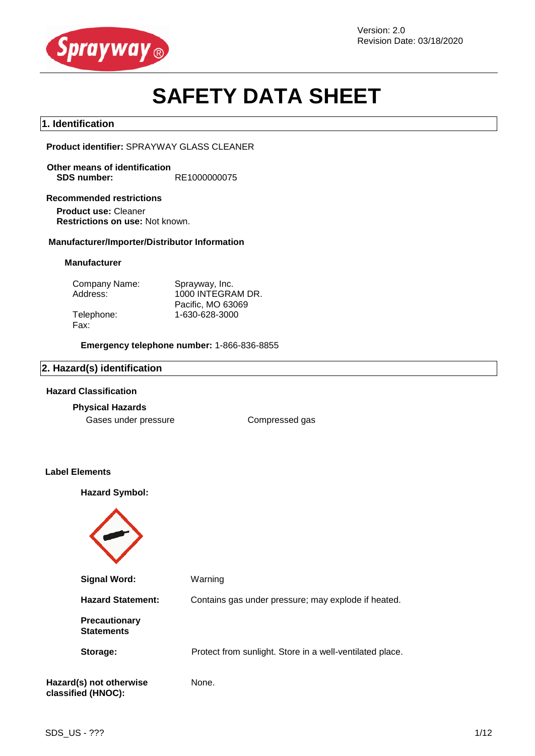

# **SAFETY DATA SHEET**

#### **1. Identification**

**Product identifier:** SPRAYWAY GLASS CLEANER

**Other means of identification SDS number:** RE1000000075

#### **Recommended restrictions**

**Product use:** Cleaner **Restrictions on use:** Not known.

#### **Manufacturer/Importer/Distributor Information**

#### **Manufacturer**

| Company Name: | Sprayway, Inc.    |
|---------------|-------------------|
| Address:      | 1000 INTEGRAM DR. |
|               | Pacific, MO 63069 |
| Telephone:    | 1-630-628-3000    |
| Fax:          |                   |

**Emergency telephone number:** 1-866-836-8855

#### **2. Hazard(s) identification**

#### **Hazard Classification**

#### **Physical Hazards**

Gases under pressure **Compressed gas** 

#### **Label Elements**

**Hazard Symbol:**

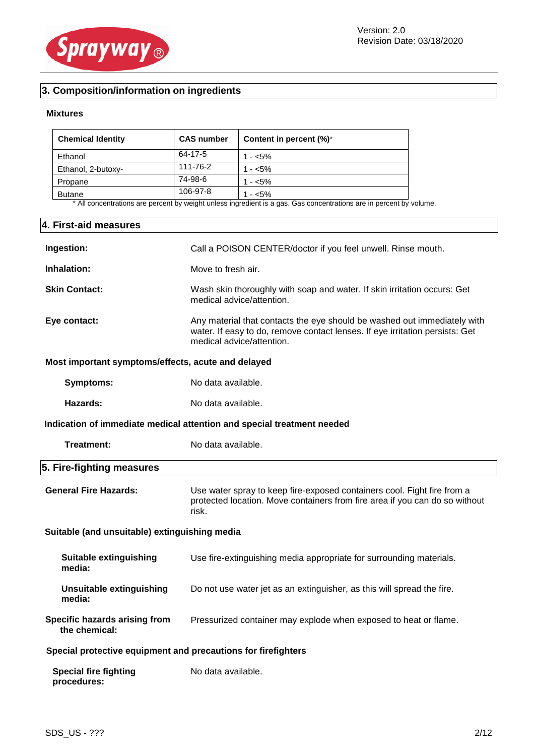

## **3. Composition/information on ingredients**

#### **Mixtures**

| <b>Chemical Identity</b> | <b>CAS number</b> | Content in percent (%)* |
|--------------------------|-------------------|-------------------------|
| Ethanol                  | 64-17-5           | $1 - 5\%$               |
| Ethanol, 2-butoxy-       | 111-76-2          | $1 - 5\%$               |
| Propane                  | 74-98-6           | $1 - 5\%$               |
| <b>Butane</b>            | 106-97-8          | $1 - 5\%$               |

\* All concentrations are percent by weight unless ingredient is a gas. Gas concentrations are in percent by volume.

#### **4. First-aid measures**

| Ingestion:                                                    | Call a POISON CENTER/doctor if you feel unwell. Rinse mouth.                                                                                                                          |
|---------------------------------------------------------------|---------------------------------------------------------------------------------------------------------------------------------------------------------------------------------------|
| Inhalation:                                                   | Move to fresh air.                                                                                                                                                                    |
| <b>Skin Contact:</b>                                          | Wash skin thoroughly with soap and water. If skin irritation occurs: Get<br>medical advice/attention.                                                                                 |
| Eye contact:                                                  | Any material that contacts the eye should be washed out immediately with<br>water. If easy to do, remove contact lenses. If eye irritation persists: Get<br>medical advice/attention. |
| Most important symptoms/effects, acute and delayed            |                                                                                                                                                                                       |
| <b>Symptoms:</b>                                              | No data available.                                                                                                                                                                    |
| Hazards:                                                      | No data available.                                                                                                                                                                    |
|                                                               | Indication of immediate medical attention and special treatment needed                                                                                                                |
| Treatment:                                                    | No data available.                                                                                                                                                                    |
| 5. Fire-fighting measures                                     |                                                                                                                                                                                       |
| <b>General Fire Hazards:</b>                                  | Use water spray to keep fire-exposed containers cool. Fight fire from a<br>protected location. Move containers from fire area if you can do so without                                |
|                                                               | risk.                                                                                                                                                                                 |
| Suitable (and unsuitable) extinguishing media                 |                                                                                                                                                                                       |
| <b>Suitable extinguishing</b><br>media:                       | Use fire-extinguishing media appropriate for surrounding materials.                                                                                                                   |
| <b>Unsuitable extinguishing</b><br>media:                     | Do not use water jet as an extinguisher, as this will spread the fire.                                                                                                                |
| Specific hazards arising from<br>the chemical:                | Pressurized container may explode when exposed to heat or flame.                                                                                                                      |
| Special protective equipment and precautions for firefighters |                                                                                                                                                                                       |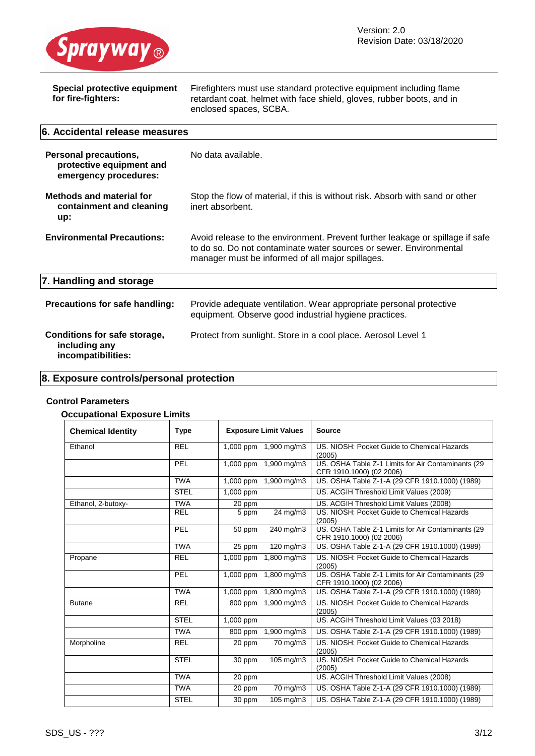

| <b>Special protective equipment</b><br>for fire-fighters:                         | Firefighters must use standard protective equipment including flame<br>retardant coat, helmet with face shield, gloves, rubber boots, and in<br>enclosed spaces, SCBA.                                  |  |
|-----------------------------------------------------------------------------------|---------------------------------------------------------------------------------------------------------------------------------------------------------------------------------------------------------|--|
| 6. Accidental release measures                                                    |                                                                                                                                                                                                         |  |
| <b>Personal precautions,</b><br>protective equipment and<br>emergency procedures: | No data available.                                                                                                                                                                                      |  |
| <b>Methods and material for</b><br>containment and cleaning<br>up:                | Stop the flow of material, if this is without risk. Absorb with sand or other<br>inert absorbent.                                                                                                       |  |
| <b>Environmental Precautions:</b>                                                 | Avoid release to the environment. Prevent further leakage or spillage if safe<br>to do so. Do not contaminate water sources or sewer. Environmental<br>manager must be informed of all major spillages. |  |
| 7. Handling and storage                                                           |                                                                                                                                                                                                         |  |
| Precautions for safe handling:                                                    | Provide adequate ventilation. Wear appropriate personal protective<br>equipment. Observe good industrial hygiene practices.                                                                             |  |
| Conditions for safe storage,<br>including any<br>incompatibilities:               | Protect from sunlight. Store in a cool place. Aerosol Level 1                                                                                                                                           |  |

## **8. Exposure controls/personal protection**

### **Control Parameters**

#### **Occupational Exposure Limits**

| ooapanonar Exposare Emmo |             |                              |                                                                                |
|--------------------------|-------------|------------------------------|--------------------------------------------------------------------------------|
| <b>Chemical Identity</b> | <b>Type</b> | <b>Exposure Limit Values</b> | <b>Source</b>                                                                  |
| Ethanol                  | <b>REL</b>  | 1,000 ppm 1,900 mg/m3        | US. NIOSH: Pocket Guide to Chemical Hazards<br>(2005)                          |
|                          | <b>PEL</b>  | 1,900 mg/m3<br>1,000 ppm     | US. OSHA Table Z-1 Limits for Air Contaminants (29<br>CFR 1910.1000) (02 2006) |
|                          | <b>TWA</b>  | 1,000 ppm<br>1,900 mg/m3     | US. OSHA Table Z-1-A (29 CFR 1910.1000) (1989)                                 |
|                          | <b>STEL</b> | 1,000 ppm                    | US. ACGIH Threshold Limit Values (2009)                                        |
| Ethanol, 2-butoxy-       | <b>TWA</b>  | 20 ppm                       | US. ACGIH Threshold Limit Values (2008)                                        |
|                          | <b>REL</b>  | $24 \text{ mg/m}$<br>5 ppm   | US. NIOSH: Pocket Guide to Chemical Hazards<br>(2005)                          |
|                          | PEL         | 240 mg/m3<br>50 ppm          | US. OSHA Table Z-1 Limits for Air Contaminants (29<br>CFR 1910.1000) (02 2006) |
|                          | <b>TWA</b>  | $120 \text{ mg/m}$<br>25 ppm | US. OSHA Table Z-1-A (29 CFR 1910.1000) (1989)                                 |
| Propane                  | <b>REL</b>  | $1,000$ ppm<br>1,800 mg/m3   | US. NIOSH: Pocket Guide to Chemical Hazards<br>(2005)                          |
|                          | PEL         | $1,800$ mg/m3<br>1,000 ppm   | US. OSHA Table Z-1 Limits for Air Contaminants (29<br>CFR 1910.1000) (02 2006) |
|                          | <b>TWA</b>  | $1,000$ ppm<br>1,800 mg/m3   | US. OSHA Table Z-1-A (29 CFR 1910.1000) (1989)                                 |
| <b>Butane</b>            | <b>REL</b>  | 800 ppm<br>1,900 mg/m3       | US. NIOSH: Pocket Guide to Chemical Hazards<br>(2005)                          |
|                          | <b>STEL</b> | 1,000 ppm                    | US. ACGIH Threshold Limit Values (03 2018)                                     |
|                          | <b>TWA</b>  | 1,900 mg/m3<br>800 ppm       | US. OSHA Table Z-1-A (29 CFR 1910.1000) (1989)                                 |
| Morpholine               | <b>REL</b>  | 20 ppm<br>70 mg/m3           | US. NIOSH: Pocket Guide to Chemical Hazards<br>(2005)                          |
|                          | <b>STEL</b> | 105 mg/m3<br>30 ppm          | US, NIOSH: Pocket Guide to Chemical Hazards<br>(2005)                          |
|                          | <b>TWA</b>  | 20 ppm                       | US. ACGIH Threshold Limit Values (2008)                                        |
|                          | <b>TWA</b>  | 20 ppm<br>70 mg/m3           | US. OSHA Table Z-1-A (29 CFR 1910.1000) (1989)                                 |
|                          | <b>STEL</b> | 30 ppm<br>105 mg/m3          | US. OSHA Table Z-1-A (29 CFR 1910.1000) (1989)                                 |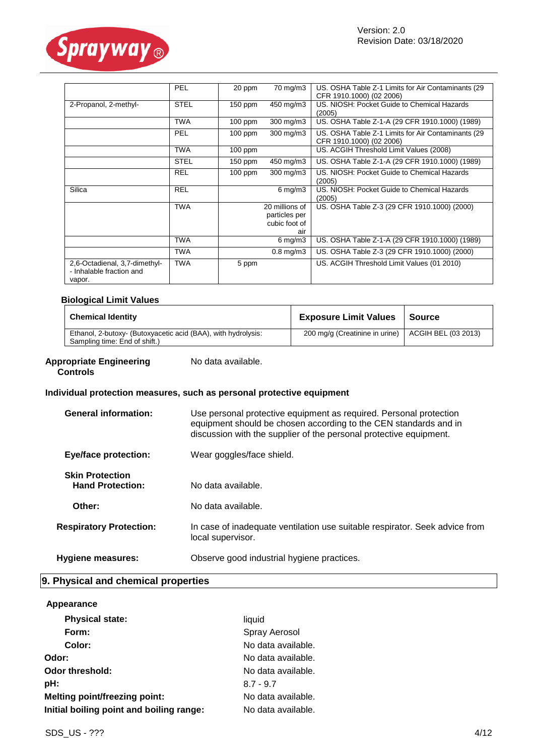

|                                                                     | PEL         | 20 ppm    | 70 mg/m3                                                | US. OSHA Table Z-1 Limits for Air Contaminants (29<br>CFR 1910.1000) (02 2006) |
|---------------------------------------------------------------------|-------------|-----------|---------------------------------------------------------|--------------------------------------------------------------------------------|
| 2-Propanol, 2-methyl-                                               | <b>STEL</b> | $150$ ppm | 450 mg/m3                                               | US. NIOSH: Pocket Guide to Chemical Hazards<br>(2005)                          |
|                                                                     | TWA         | $100$ ppm | 300 mg/m3                                               | US. OSHA Table Z-1-A (29 CFR 1910.1000) (1989)                                 |
|                                                                     | <b>PEL</b>  | $100$ ppm | 300 mg/m3                                               | US. OSHA Table Z-1 Limits for Air Contaminants (29<br>CFR 1910.1000) (02 2006) |
|                                                                     | <b>TWA</b>  | $100$ ppm |                                                         | US. ACGIH Threshold Limit Values (2008)                                        |
|                                                                     | <b>STEL</b> | $150$ ppm | 450 mg/m3                                               | US. OSHA Table Z-1-A (29 CFR 1910.1000) (1989)                                 |
|                                                                     | <b>REL</b>  | 100 ppm   | 300 mg/m3                                               | US. NIOSH: Pocket Guide to Chemical Hazards<br>(2005)                          |
| Silica                                                              | <b>REL</b>  |           | $6 \,\mathrm{mg/m}$                                     | US. NIOSH: Pocket Guide to Chemical Hazards<br>(2005)                          |
|                                                                     | <b>TWA</b>  |           | 20 millions of<br>particles per<br>cubic foot of<br>air | US. OSHA Table Z-3 (29 CFR 1910.1000) (2000)                                   |
|                                                                     | TWA         |           | 6 mg/m $3$                                              | US. OSHA Table Z-1-A (29 CFR 1910.1000) (1989)                                 |
|                                                                     | TWA         |           | $0.8$ mg/m $3$                                          | US. OSHA Table Z-3 (29 CFR 1910.1000) (2000)                                   |
| 2,6-Octadienal, 3,7-dimethyl-<br>- Inhalable fraction and<br>vapor. | <b>TWA</b>  | 5 ppm     |                                                         | US. ACGIH Threshold Limit Values (01 2010)                                     |

#### **Biological Limit Values**

| <b>Chemical Identity</b>                                                                       | <b>Exposure Limit Values</b>                         | Source |
|------------------------------------------------------------------------------------------------|------------------------------------------------------|--------|
| Ethanol, 2-butoxy- (Butoxyacetic acid (BAA), with hydrolysis:<br>Sampling time: End of shift.) | 200 mg/g (Creatinine in urine)   ACGIH BEL (03 2013) |        |

#### **Appropriate Engineering Controls**

No data available.

#### **Individual protection measures, such as personal protective equipment**

| <b>General information:</b>                       | Use personal protective equipment as required. Personal protection<br>equipment should be chosen according to the CEN standards and in<br>discussion with the supplier of the personal protective equipment. |
|---------------------------------------------------|--------------------------------------------------------------------------------------------------------------------------------------------------------------------------------------------------------------|
| <b>Eye/face protection:</b>                       | Wear goggles/face shield.                                                                                                                                                                                    |
| <b>Skin Protection</b><br><b>Hand Protection:</b> | No data available.                                                                                                                                                                                           |
| Other:                                            | No data available.                                                                                                                                                                                           |
| <b>Respiratory Protection:</b>                    | In case of inadequate ventilation use suitable respirator. Seek advice from<br>local supervisor.                                                                                                             |
| <b>Hygiene measures:</b>                          | Observe good industrial hygiene practices.                                                                                                                                                                   |

#### **9. Physical and chemical properties**

#### **Appearance**

| <b>Physical state:</b>                   | liquid             |
|------------------------------------------|--------------------|
| Form:                                    | Spray Aerosol      |
| Color:                                   | No data available. |
| Odor:                                    | No data available. |
| <b>Odor threshold:</b>                   | No data available. |
| pH:                                      | $8.7 - 9.7$        |
| <b>Melting point/freezing point:</b>     | No data available. |
| Initial boiling point and boiling range: | No data available. |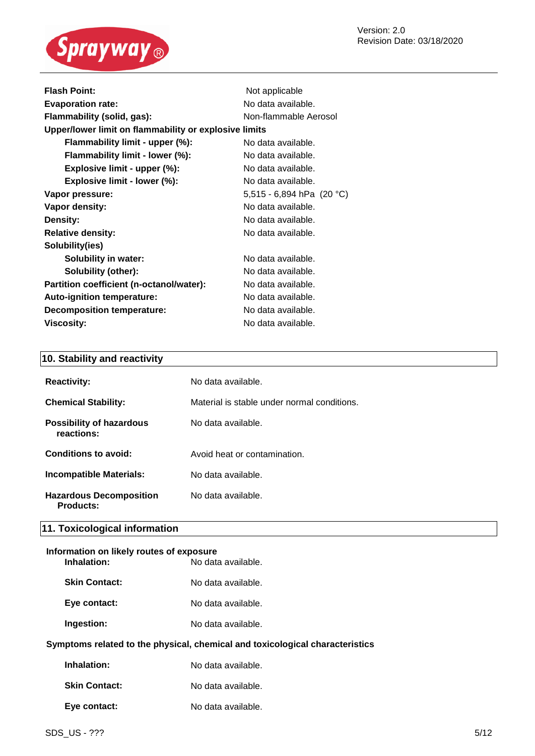

| <b>Flash Point:</b>                                   | Not applicable            |
|-------------------------------------------------------|---------------------------|
| <b>Evaporation rate:</b>                              | No data available.        |
| Flammability (solid, gas):<br>Non-flammable Aerosol   |                           |
| Upper/lower limit on flammability or explosive limits |                           |
| Flammability limit - upper (%):                       | No data available.        |
| Flammability limit - lower (%):                       | No data available.        |
| Explosive limit - upper (%):                          | No data available.        |
| Explosive limit - lower (%):                          | No data available.        |
| Vapor pressure:                                       | 5,515 - 6,894 hPa (20 °C) |
| Vapor density:                                        | No data available.        |
| Density:                                              | No data available.        |
| <b>Relative density:</b>                              | No data available.        |
| Solubility(ies)                                       |                           |
| <b>Solubility in water:</b>                           | No data available.        |
| <b>Solubility (other):</b>                            | No data available.        |
| Partition coefficient (n-octanol/water):              | No data available.        |
| <b>Auto-ignition temperature:</b>                     | No data available.        |
| <b>Decomposition temperature:</b>                     | No data available.        |
| Viscosity:                                            | No data available.        |

### **10. Stability and reactivity**

| <b>Reactivity:</b>                            | No data available.                          |
|-----------------------------------------------|---------------------------------------------|
| <b>Chemical Stability:</b>                    | Material is stable under normal conditions. |
| <b>Possibility of hazardous</b><br>reactions: | No data available.                          |
| Conditions to avoid:                          | Avoid heat or contamination.                |
| <b>Incompatible Materials:</b>                | No data available.                          |
| <b>Hazardous Decomposition</b><br>Products:   | No data available.                          |

#### **11. Toxicological information**

#### **Information on likely routes of exposure Inhalation:** No data available.

| <b>Skin Contact:</b> | No data available. |
|----------------------|--------------------|
| Eye contact:         | No data available. |

**Ingestion:** No data available.

#### **Symptoms related to the physical, chemical and toxicological characteristics**

| Inhalation:          | No data available. |
|----------------------|--------------------|
| <b>Skin Contact:</b> | No data available. |
| Eye contact:         | No data available. |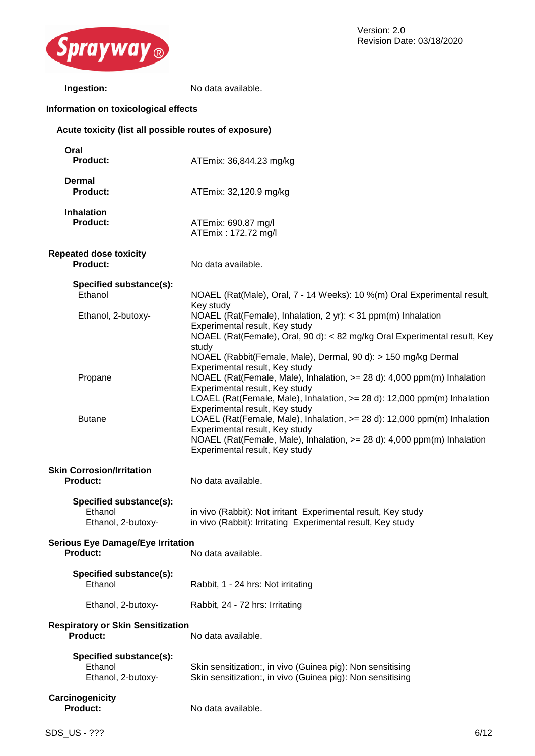

#### **Information on toxicological effects**

| Ingestion:                                            | No data available.                                                                                                                                                                                                                                                   |
|-------------------------------------------------------|----------------------------------------------------------------------------------------------------------------------------------------------------------------------------------------------------------------------------------------------------------------------|
| nformation on toxicological effects                   |                                                                                                                                                                                                                                                                      |
| Acute toxicity (list all possible routes of exposure) |                                                                                                                                                                                                                                                                      |
| Oral<br><b>Product:</b>                               | ATEmix: 36,844.23 mg/kg                                                                                                                                                                                                                                              |
| <b>Dermal</b><br><b>Product:</b>                      | ATEmix: 32,120.9 mg/kg                                                                                                                                                                                                                                               |
| <b>Inhalation</b><br><b>Product:</b>                  | ATEmix: 690.87 mg/l<br>ATEmix: 172.72 mg/l                                                                                                                                                                                                                           |
| <b>Repeated dose toxicity</b><br><b>Product:</b>      | No data available.                                                                                                                                                                                                                                                   |
| Specified substance(s):<br>Ethanol                    | NOAEL (Rat(Male), Oral, 7 - 14 Weeks): 10 %(m) Oral Experimental result,                                                                                                                                                                                             |
| Ethanol, 2-butoxy-                                    | Key study<br>NOAEL (Rat(Female), Inhalation, 2 yr): < 31 ppm(m) Inhalation<br>Experimental result, Key study<br>NOAEL (Rat(Female), Oral, 90 d): < 82 mg/kg Oral Experimental result, Key<br>study<br>NOAEL (Rabbit(Female, Male), Dermal, 90 d): > 150 mg/kg Dermal |
| Propane                                               | Experimental result, Key study<br>NOAEL (Rat(Female, Male), Inhalation, >= 28 d): 4,000 ppm(m) Inhalation<br>Experimental result, Key study<br>LOAEL (Rat(Female, Male), Inhalation, >= 28 d): 12,000 ppm(m) Inhalation                                              |
| <b>Butane</b>                                         | Experimental result, Key study<br>LOAEL (Rat(Female, Male), Inhalation, >= 28 d): 12,000 ppm(m) Inhalation<br>Experimental result, Key study<br>NOAEL (Rat(Female, Male), Inhalation, $>= 28$ d): 4,000 ppm(m) Inhalation<br>Experimental result, Key study          |
| <b>Skin Corrosion/Irritation</b><br><b>Product:</b>   | No data available.                                                                                                                                                                                                                                                   |
| $Consider \{a_n, b_n\}$                               |                                                                                                                                                                                                                                                                      |

**Specified substance(s):**

in vivo (Rabbit): Not irritant Experimental result, Key study Ethanol, 2-butoxy- in vivo (Rabbit): Irritating Experimental result, Key study

## **Serious Eye Damage/Eye Irritation Product:** No data available. **Specified substance(s):**

Ethanol, 2-butoxy- Rabbit, 24 - 72 hrs: Irritating

## **Respiratory or Skin Sensitization**

**Product:** No data available.

| Specified substance(s): |                                                            |
|-------------------------|------------------------------------------------------------|
| Ethanol                 | Skin sensitization:, in vivo (Guinea pig): Non sensitising |
| Ethanol. 2-butoxy-      | Skin sensitization:, in vivo (Guinea pig): Non sensitising |

## **Carcinogenicity**

**Product:** No data available.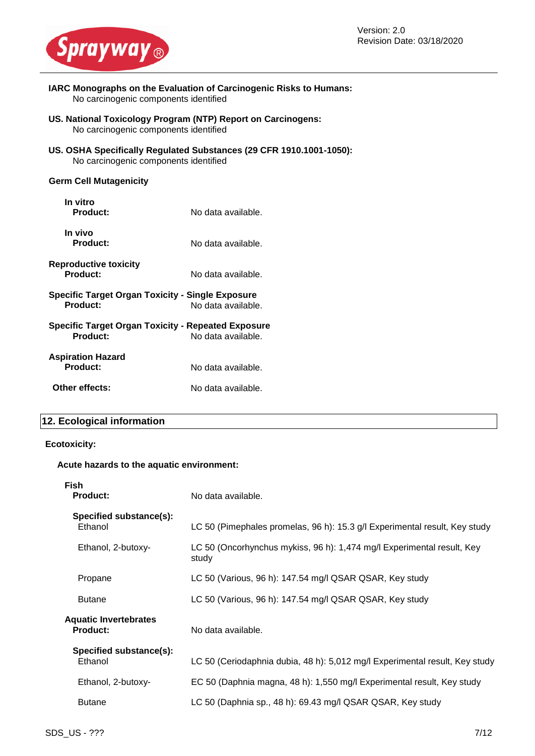

- **IARC Monographs on the Evaluation of Carcinogenic Risks to Humans:** No carcinogenic components identified
- **US. National Toxicology Program (NTP) Report on Carcinogens:** No carcinogenic components identified
- **US. OSHA Specifically Regulated Substances (29 CFR 1910.1001-1050):** No carcinogenic components identified

#### **Germ Cell Mutagenicity**

| In vitro<br>Product:                                                | No data available.                                                       |
|---------------------------------------------------------------------|--------------------------------------------------------------------------|
| In vivo<br>Product:                                                 | No data available.                                                       |
| <b>Reproductive toxicity</b><br>Product:                            | No data available.                                                       |
| Specific Target Organ Toxicity - Single Exposure<br><b>Product:</b> | No data available.                                                       |
| <b>Product:</b>                                                     | Specific Target Organ Toxicity - Repeated Exposure<br>No data available. |
| <b>Aspiration Hazard</b><br>Product:                                | No data available.                                                       |
| Other effects:                                                      | No data available.                                                       |

#### **12. Ecological information**

#### **Ecotoxicity:**

#### **Acute hazards to the aquatic environment:**

| No data available.                                                              |
|---------------------------------------------------------------------------------|
| LC 50 (Pimephales promelas, 96 h): 15.3 g/l Experimental result, Key study      |
| LC 50 (Oncorhynchus mykiss, 96 h): 1,474 mg/l Experimental result, Key<br>study |
| LC 50 (Various, 96 h): 147.54 mg/l QSAR QSAR, Key study                         |
| LC 50 (Various, 96 h): 147.54 mg/l QSAR QSAR, Key study                         |
| No data available.                                                              |
| LC 50 (Ceriodaphnia dubia, 48 h): 5,012 mg/l Experimental result, Key study     |
| EC 50 (Daphnia magna, 48 h): 1,550 mg/l Experimental result, Key study          |
| LC 50 (Daphnia sp., 48 h): 69.43 mg/l QSAR QSAR, Key study                      |
|                                                                                 |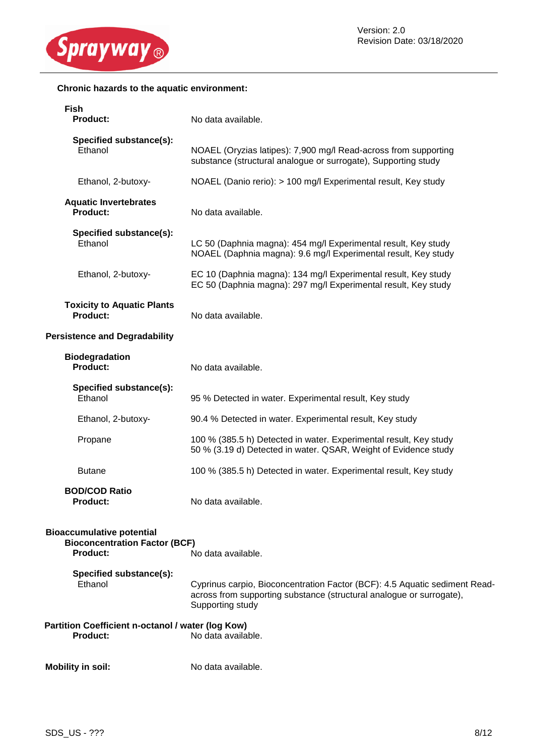

#### **Chronic hazards to the aquatic environment:**

| <b>Fish</b><br>Product:                                                                     | No data available.                                                                                                                                                     |
|---------------------------------------------------------------------------------------------|------------------------------------------------------------------------------------------------------------------------------------------------------------------------|
| Specified substance(s):<br>Ethanol                                                          | NOAEL (Oryzias latipes): 7,900 mg/l Read-across from supporting<br>substance (structural analogue or surrogate), Supporting study                                      |
| Ethanol, 2-butoxy-                                                                          | NOAEL (Danio rerio): > 100 mg/l Experimental result, Key study                                                                                                         |
| <b>Aquatic Invertebrates</b><br><b>Product:</b>                                             | No data available.                                                                                                                                                     |
| Specified substance(s):<br>Ethanol                                                          | LC 50 (Daphnia magna): 454 mg/l Experimental result, Key study<br>NOAEL (Daphnia magna): 9.6 mg/l Experimental result, Key study                                       |
| Ethanol, 2-butoxy-                                                                          | EC 10 (Daphnia magna): 134 mg/l Experimental result, Key study<br>EC 50 (Daphnia magna): 297 mg/l Experimental result, Key study                                       |
| <b>Toxicity to Aquatic Plants</b><br><b>Product:</b>                                        | No data available.                                                                                                                                                     |
| <b>Persistence and Degradability</b>                                                        |                                                                                                                                                                        |
| <b>Biodegradation</b><br>Product:                                                           | No data available.                                                                                                                                                     |
| Specified substance(s):<br>Ethanol                                                          | 95 % Detected in water. Experimental result, Key study                                                                                                                 |
| Ethanol, 2-butoxy-                                                                          | 90.4 % Detected in water. Experimental result, Key study                                                                                                               |
| Propane                                                                                     | 100 % (385.5 h) Detected in water. Experimental result, Key study<br>50 % (3.19 d) Detected in water. QSAR, Weight of Evidence study                                   |
| <b>Butane</b>                                                                               | 100 % (385.5 h) Detected in water. Experimental result, Key study                                                                                                      |
| <b>BOD/COD Ratio</b><br><b>Product:</b>                                                     | No data available.                                                                                                                                                     |
| <b>Bioaccumulative potential</b><br><b>Bioconcentration Factor (BCF)</b><br><b>Product:</b> | No data available.                                                                                                                                                     |
| Specified substance(s):<br>Ethanol                                                          | Cyprinus carpio, Bioconcentration Factor (BCF): 4.5 Aquatic sediment Read-<br>across from supporting substance (structural analogue or surrogate),<br>Supporting study |
| Partition Coefficient n-octanol / water (log Kow)<br><b>Product:</b>                        | No data available.                                                                                                                                                     |
| <b>Mobility in soil:</b>                                                                    | No data available.                                                                                                                                                     |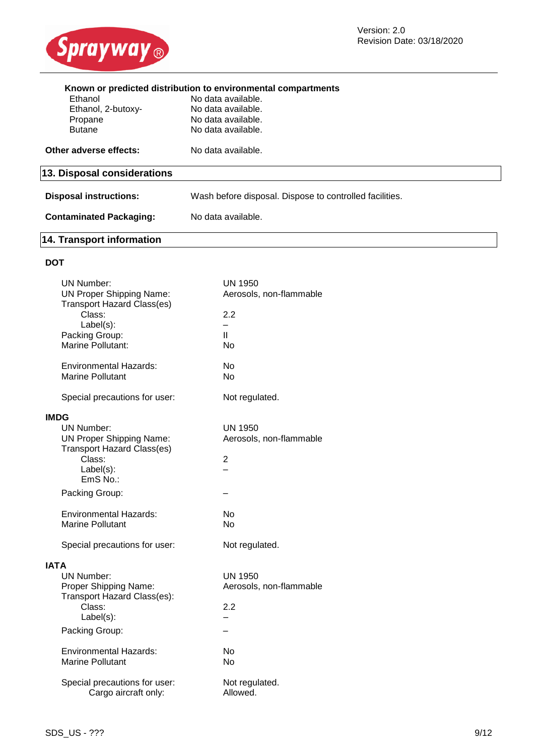

| Known or predicted distribution to environmental compartments |                                                         |
|---------------------------------------------------------------|---------------------------------------------------------|
| Ethanol                                                       | No data available.                                      |
| Ethanol, 2-butoxy-                                            | No data available.                                      |
| Propane                                                       | No data available.                                      |
| <b>Butane</b>                                                 | No data available.                                      |
| Other adverse effects:                                        | No data available.                                      |
| 13. Disposal considerations                                   |                                                         |
| <b>Disposal instructions:</b>                                 | Wash before disposal. Dispose to controlled facilities. |
|                                                               |                                                         |
| <b>Contaminated Packaging:</b>                                | No data available.                                      |
|                                                               |                                                         |

## **14. Transport information**

## **DOT**

| <b>UN Number:</b>                   | <b>UN 1950</b>          |
|-------------------------------------|-------------------------|
| <b>UN Proper Shipping Name:</b>     | Aerosols, non-flammable |
| <b>Transport Hazard Class(es)</b>   |                         |
| Class:                              | 2.2<br>÷.               |
| Label(s):                           | $\mathbf{II}$           |
| Packing Group:<br>Marine Pollutant: | <b>No</b>               |
|                                     |                         |
| <b>Environmental Hazards:</b>       | No                      |
| <b>Marine Pollutant</b>             | No                      |
|                                     |                         |
| Special precautions for user:       | Not regulated.          |
| <b>IMDG</b>                         |                         |
| UN Number:                          | <b>UN 1950</b>          |
| <b>UN Proper Shipping Name:</b>     | Aerosols, non-flammable |
| <b>Transport Hazard Class(es)</b>   |                         |
| Class:                              | $\overline{2}$          |
| Label(s):                           |                         |
| EmS No.:                            |                         |
|                                     |                         |
| Packing Group:                      |                         |
| <b>Environmental Hazards:</b>       | No                      |
| Marine Pollutant                    | No                      |
|                                     |                         |
| Special precautions for user:       | Not regulated.          |
|                                     |                         |
| <b>IATA</b>                         |                         |
| <b>UN Number:</b>                   | <b>UN 1950</b>          |
| Proper Shipping Name:               | Aerosols, non-flammable |
| Transport Hazard Class(es):         |                         |
| Class:                              | 2.2                     |
| Label(s):                           |                         |
| Packing Group:                      |                         |
| <b>Environmental Hazards:</b>       | No                      |
| <b>Marine Pollutant</b>             | No                      |
|                                     |                         |
| Special precautions for user:       | Not regulated.          |
| Cargo aircraft only:                | Allowed.                |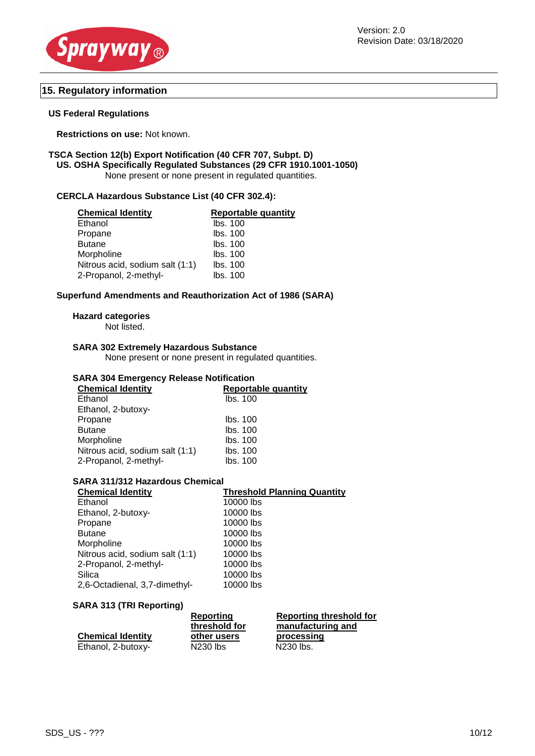



#### **15. Regulatory information**

#### **US Federal Regulations**

**Restrictions on use:** Not known.

#### **TSCA Section 12(b) Export Notification (40 CFR 707, Subpt. D) US. OSHA Specifically Regulated Substances (29 CFR 1910.1001-1050)** None present or none present in regulated quantities.

#### **CERCLA Hazardous Substance List (40 CFR 302.4):**

| <b>Chemical Identity</b>        | <b>Reportable quantity</b> |
|---------------------------------|----------------------------|
| Ethanol                         | lbs. 100                   |
| Propane                         | lbs. 100                   |
| <b>Butane</b>                   | lbs. 100                   |
| Morpholine                      | lbs. 100                   |
| Nitrous acid, sodium salt (1:1) | lbs. 100                   |
| 2-Propanol, 2-methyl-           | lbs. 100                   |

#### **Superfund Amendments and Reauthorization Act of 1986 (SARA)**

#### **Hazard categories**

Not listed.

#### **SARA 302 Extremely Hazardous Substance**

None present or none present in regulated quantities.

#### **SARA 304 Emergency Release Notification**

| <b>Chemical Identity</b>        | <b>Reportable quantity</b> |
|---------------------------------|----------------------------|
| Ethanol                         | lbs. 100                   |
| Ethanol, 2-butoxy-              |                            |
| Propane                         | lbs. 100                   |
| <b>Butane</b>                   | lbs. 100                   |
| Morpholine                      | Ibs. 100                   |
| Nitrous acid, sodium salt (1:1) | lbs. 100                   |
| 2-Propanol, 2-methyl-           | lbs. 100                   |
|                                 |                            |

#### **SARA 311/312 Hazardous Chemical**

| <b>Chemical Identity</b>        | <b>Threshold Planning Quantity</b> |
|---------------------------------|------------------------------------|
| Ethanol                         | 10000 lbs                          |
| Ethanol, 2-butoxy-              | 10000 lbs                          |
| Propane                         | 10000 lbs                          |
| <b>Butane</b>                   | 10000 lbs                          |
| Morpholine                      | 10000 lbs                          |
| Nitrous acid, sodium salt (1:1) | 10000 lbs                          |
| 2-Propanol, 2-methyl-           | 10000 lbs                          |
| Silica                          | 10000 lbs                          |
| 2,6-Octadienal, 3,7-dimethyl-   | 10000 lbs                          |
|                                 |                                    |

#### **SARA 313 (TRI Reporting)**

| Reporting                 |
|---------------------------|
|                           |
| threshold for<br>manufact |
| processi                  |
| N230 lbs.                 |
|                           |

**Reporting threshold for acturing and processing**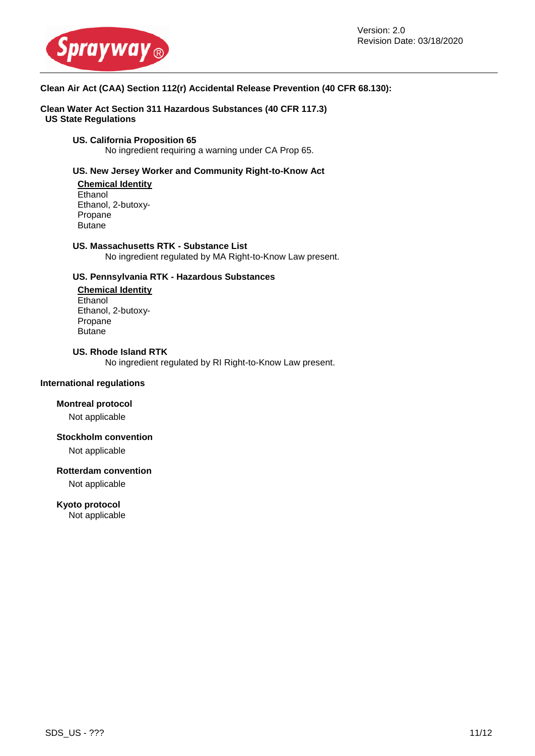

#### **Clean Air Act (CAA) Section 112(r) Accidental Release Prevention (40 CFR 68.130):**

**Clean Water Act Section 311 Hazardous Substances (40 CFR 117.3) US State Regulations**

## **US. California Proposition 65**

No ingredient requiring a warning under CA Prop 65.

#### **US. New Jersey Worker and Community Right-to-Know Act**

**Chemical Identity Ethanol** Ethanol, 2-butoxy-Propane **Butane** 

#### **US. Massachusetts RTK - Substance List**

No ingredient regulated by MA Right-to-Know Law present.

#### **US. Pennsylvania RTK - Hazardous Substances**

**Chemical Identity Ethanol** Ethanol, 2-butoxy-Propane Butane

## **US. Rhode Island RTK**

No ingredient regulated by RI Right-to-Know Law present.

#### **International regulations**

#### **Montreal protocol**

Not applicable

#### **Stockholm convention**

Not applicable

#### **Rotterdam convention**

Not applicable

#### **Kyoto protocol**

Not applicable